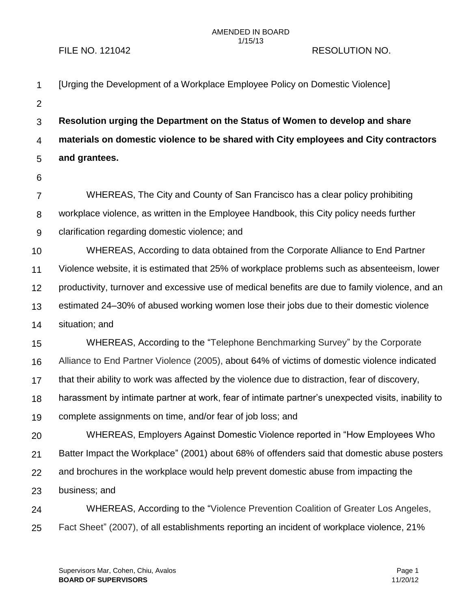## AMENDED IN BOARD 1/15/13

## FILE NO. 121042 RESOLUTION NO.

| $\mathbf 1$    | [Urging the Development of a Workplace Employee Policy on Domestic Violence]                       |
|----------------|----------------------------------------------------------------------------------------------------|
| $\overline{2}$ |                                                                                                    |
| 3              | Resolution urging the Department on the Status of Women to develop and share                       |
| 4              | materials on domestic violence to be shared with City employees and City contractors               |
| 5              | and grantees.                                                                                      |
| 6              |                                                                                                    |
| 7              | WHEREAS, The City and County of San Francisco has a clear policy prohibiting                       |
| 8              | workplace violence, as written in the Employee Handbook, this City policy needs further            |
| 9              | clarification regarding domestic violence; and                                                     |
| 10             | WHEREAS, According to data obtained from the Corporate Alliance to End Partner                     |
| 11             | Violence website, it is estimated that 25% of workplace problems such as absenteeism, lower        |
| 12             | productivity, turnover and excessive use of medical benefits are due to family violence, and an    |
| 13             | estimated 24–30% of abused working women lose their jobs due to their domestic violence            |
| 14             | situation; and                                                                                     |
| 15             | WHEREAS, According to the "Telephone Benchmarking Survey" by the Corporate                         |
| 16             | Alliance to End Partner Violence (2005), about 64% of victims of domestic violence indicated       |
| 17             | that their ability to work was affected by the violence due to distraction, fear of discovery,     |
| 18             | harassment by intimate partner at work, fear of intimate partner's unexpected visits, inability to |
| 19             | complete assignments on time, and/or fear of job loss; and                                         |
| 20             | WHEREAS, Employers Against Domestic Violence reported in "How Employees Who                        |
| 21             | Batter Impact the Workplace" (2001) about 68% of offenders said that domestic abuse posters        |
| 22             | and brochures in the workplace would help prevent domestic abuse from impacting the                |
| 23             | business; and                                                                                      |
| 24             | WHEREAS, According to the "Violence Prevention Coalition of Greater Los Angeles,                   |
| 25             | Fact Sheet" (2007), of all establishments reporting an incident of workplace violence, 21%         |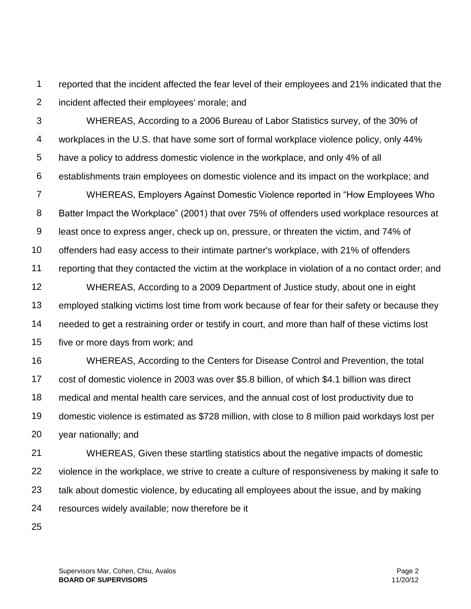1 2 reported that the incident affected the fear level of their employees and 21% indicated that the incident affected their employees' morale; and

3 4 5 6 WHEREAS, According to a 2006 Bureau of Labor Statistics survey, of the 30% of workplaces in the U.S. that have some sort of formal workplace violence policy, only 44% have a policy to address domestic violence in the workplace, and only 4% of all establishments train employees on domestic violence and its impact on the workplace; and

7 8 9 10 11 12 13 WHEREAS, Employers Against Domestic Violence reported in "How Employees Who Batter Impact the Workplace" (2001) that over 75% of offenders used workplace resources at least once to express anger, check up on, pressure, or threaten the victim, and 74% of offenders had easy access to their intimate partner's workplace, with 21% of offenders reporting that they contacted the victim at the workplace in violation of a no contact order; and WHEREAS, According to a 2009 Department of Justice study, about one in eight employed stalking victims lost time from work because of fear for their safety or because they

14 needed to get a restraining order or testify in court, and more than half of these victims lost

15 five or more days from work; and

16 17 18 19 20 WHEREAS, According to the Centers for Disease Control and Prevention, the total cost of domestic violence in 2003 was over \$5.8 billion, of which \$4.1 billion was direct medical and mental health care services, and the annual cost of lost productivity due to domestic violence is estimated as \$728 million, with close to 8 million paid workdays lost per year nationally; and

21 22 23 24 WHEREAS, Given these startling statistics about the negative impacts of domestic violence in the workplace, we strive to create a culture of responsiveness by making it safe to talk about domestic violence, by educating all employees about the issue, and by making resources widely available; now therefore be it

25